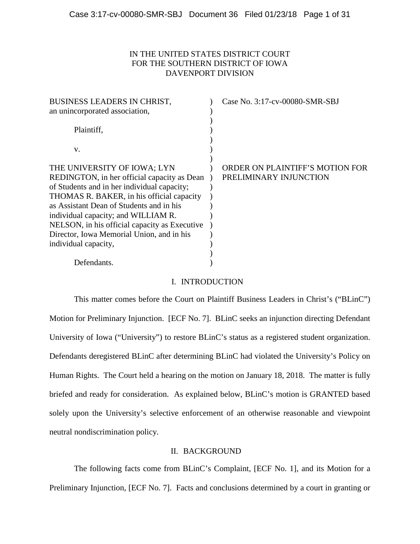# IN THE UNITED STATES DISTRICT COURT FOR THE SOUTHERN DISTRICT OF IOWA DAVENPORT DIVISION

| <b>BUSINESS LEADERS IN CHRIST,</b>            | Case No. 3:17-cv-00080-SMR-SBJ  |
|-----------------------------------------------|---------------------------------|
| an unincorporated association,                |                                 |
|                                               |                                 |
| Plaintiff,                                    |                                 |
|                                               |                                 |
| V.                                            |                                 |
|                                               |                                 |
| THE UNIVERSITY OF IOWA; LYN                   | ORDER ON PLAINTIFF'S MOTION FOR |
| REDINGTON, in her official capacity as Dean   | PRELIMINARY INJUNCTION          |
| of Students and in her individual capacity;   |                                 |
| THOMAS R. BAKER, in his official capacity     |                                 |
| as Assistant Dean of Students and in his      |                                 |
| individual capacity; and WILLIAM R.           |                                 |
| NELSON, in his official capacity as Executive |                                 |
| Director, Iowa Memorial Union, and in his     |                                 |
| individual capacity,                          |                                 |
|                                               |                                 |
| Defendants.                                   |                                 |

# I. INTRODUCTION

This matter comes before the Court on Plaintiff Business Leaders in Christ's ("BLinC") Motion for Preliminary Injunction. [ECF No. 7]. BLinC seeks an injunction directing Defendant University of Iowa ("University") to restore BLinC's status as a registered student organization. Defendants deregistered BLinC after determining BLinC had violated the University's Policy on Human Rights. The Court held a hearing on the motion on January 18, 2018. The matter is fully briefed and ready for consideration. As explained below, BLinC's motion is GRANTED based solely upon the University's selective enforcement of an otherwise reasonable and viewpoint neutral nondiscrimination policy.

# II. BACKGROUND

The following facts come from BLinC's Complaint, [ECF No. 1], and its Motion for a Preliminary Injunction, [ECF No. 7]. Facts and conclusions determined by a court in granting or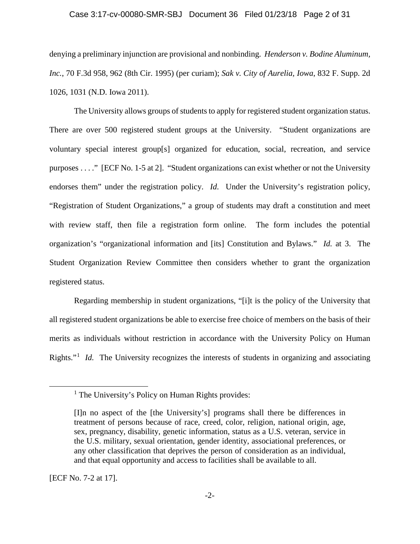#### Case 3:17-cv-00080-SMR-SBJ Document 36 Filed 01/23/18 Page 2 of 31

denying a preliminary injunction are provisional and nonbinding. *Henderson v. Bodine Aluminum, Inc.*, 70 F.3d 958, 962 (8th Cir. 1995) (per curiam); *Sak v. City of Aurelia, Iowa*, 832 F. Supp. 2d 1026, 1031 (N.D. Iowa 2011).

The University allows groups of students to apply for registered student organization status. There are over 500 registered student groups at the University. "Student organizations are voluntary special interest group[s] organized for education, social, recreation, and service purposes . . . ." [ECF No. 1-5 at 2]. "Student organizations can exist whether or not the University endorses them" under the registration policy. *Id.* Under the University's registration policy, "Registration of Student Organizations," a group of students may draft a constitution and meet with review staff, then file a registration form online. The form includes the potential organization's "organizational information and [its] Constitution and Bylaws." *Id.* at 3. The Student Organization Review Committee then considers whether to grant the organization registered status.

Regarding membership in student organizations, "[i]t is the policy of the University that all registered student organizations be able to exercise free choice of members on the basis of their merits as individuals without restriction in accordance with the University Policy on Human Rights."<sup>1</sup> *Id.* The University recognizes the interests of students in organizing and associating

[ECF No. 7-2 at 17].

 $\overline{a}$ 

<sup>&</sup>lt;sup>1</sup> The University's Policy on Human Rights provides:

<sup>[</sup>I]n no aspect of the [the University's] programs shall there be differences in treatment of persons because of race, creed, color, religion, national origin, age, sex, pregnancy, disability, genetic information, status as a U.S. veteran, service in the U.S. military, sexual orientation, gender identity, associational preferences, or any other classification that deprives the person of consideration as an individual, and that equal opportunity and access to facilities shall be available to all.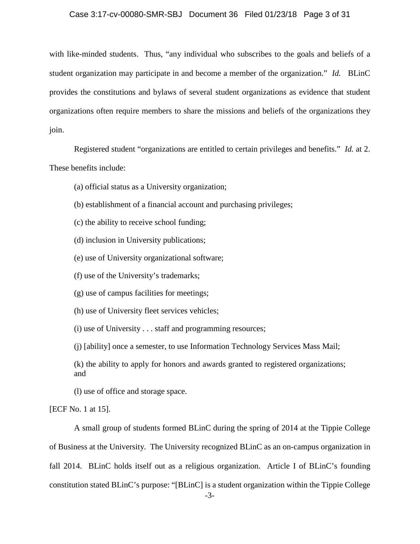#### Case 3:17-cv-00080-SMR-SBJ Document 36 Filed 01/23/18 Page 3 of 31

with like-minded students. Thus, "any individual who subscribes to the goals and beliefs of a student organization may participate in and become a member of the organization." *Id.* BLinC provides the constitutions and bylaws of several student organizations as evidence that student organizations often require members to share the missions and beliefs of the organizations they join.

Registered student "organizations are entitled to certain privileges and benefits." *Id.* at 2. These benefits include:

- (a) official status as a University organization;
- (b) establishment of a financial account and purchasing privileges;
- (c) the ability to receive school funding;
- (d) inclusion in University publications;
- (e) use of University organizational software;
- (f) use of the University's trademarks;
- (g) use of campus facilities for meetings;
- (h) use of University fleet services vehicles;

(i) use of University . . . staff and programming resources;

(j) [ability] once a semester, to use Information Technology Services Mass Mail;

(k) the ability to apply for honors and awards granted to registered organizations; and

(l) use of office and storage space.

[ECF No. 1 at 15].

A small group of students formed BLinC during the spring of 2014 at the Tippie College of Business at the University. The University recognized BLinC as an on-campus organization in fall 2014. BLinC holds itself out as a religious organization. Article I of BLinC's founding constitution stated BLinC's purpose: "[BLinC] is a student organization within the Tippie College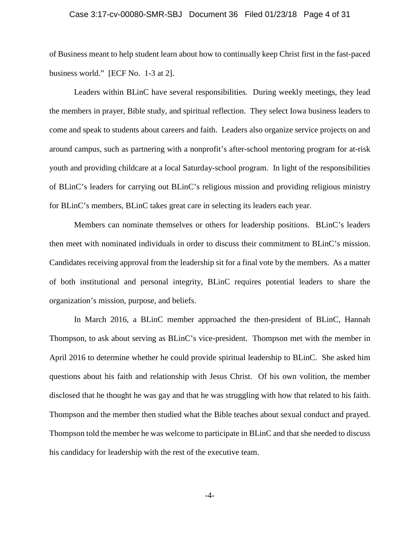## Case 3:17-cv-00080-SMR-SBJ Document 36 Filed 01/23/18 Page 4 of 31

of Business meant to help student learn about how to continually keep Christ first in the fast-paced business world." [ECF No. 1-3 at 2].

Leaders within BLinC have several responsibilities. During weekly meetings, they lead the members in prayer, Bible study, and spiritual reflection. They select Iowa business leaders to come and speak to students about careers and faith. Leaders also organize service projects on and around campus, such as partnering with a nonprofit's after-school mentoring program for at-risk youth and providing childcare at a local Saturday-school program. In light of the responsibilities of BLinC's leaders for carrying out BLinC's religious mission and providing religious ministry for BLinC's members, BLinC takes great care in selecting its leaders each year.

Members can nominate themselves or others for leadership positions. BLinC's leaders then meet with nominated individuals in order to discuss their commitment to BLinC's mission. Candidates receiving approval from the leadership sit for a final vote by the members. As a matter of both institutional and personal integrity, BLinC requires potential leaders to share the organization's mission, purpose, and beliefs.

In March 2016, a BLinC member approached the then-president of BLinC, Hannah Thompson, to ask about serving as BLinC's vice-president. Thompson met with the member in April 2016 to determine whether he could provide spiritual leadership to BLinC. She asked him questions about his faith and relationship with Jesus Christ. Of his own volition, the member disclosed that he thought he was gay and that he was struggling with how that related to his faith. Thompson and the member then studied what the Bible teaches about sexual conduct and prayed. Thompson told the member he was welcome to participate in BLinC and that she needed to discuss his candidacy for leadership with the rest of the executive team.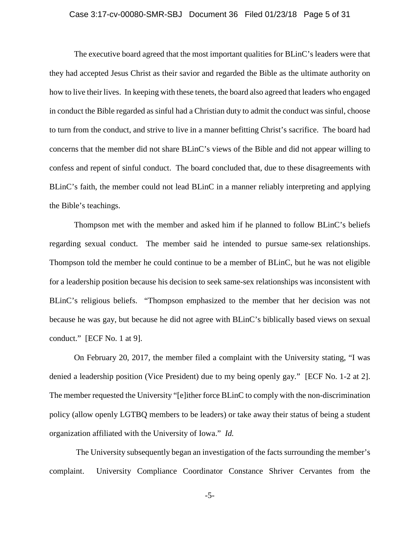## Case 3:17-cv-00080-SMR-SBJ Document 36 Filed 01/23/18 Page 5 of 31

The executive board agreed that the most important qualities for BLinC's leaders were that they had accepted Jesus Christ as their savior and regarded the Bible as the ultimate authority on how to live their lives. In keeping with these tenets, the board also agreed that leaders who engaged in conduct the Bible regarded as sinful had a Christian duty to admit the conduct was sinful, choose to turn from the conduct, and strive to live in a manner befitting Christ's sacrifice. The board had concerns that the member did not share BLinC's views of the Bible and did not appear willing to confess and repent of sinful conduct. The board concluded that, due to these disagreements with BLinC's faith, the member could not lead BLinC in a manner reliably interpreting and applying the Bible's teachings.

Thompson met with the member and asked him if he planned to follow BLinC's beliefs regarding sexual conduct. The member said he intended to pursue same-sex relationships. Thompson told the member he could continue to be a member of BLinC, but he was not eligible for a leadership position because his decision to seek same-sex relationships was inconsistent with BLinC's religious beliefs. "Thompson emphasized to the member that her decision was not because he was gay, but because he did not agree with BLinC's biblically based views on sexual conduct." [ECF No. 1 at 9].

On February 20, 2017, the member filed a complaint with the University stating, "I was denied a leadership position (Vice President) due to my being openly gay." [ECF No. 1-2 at 2]. The member requested the University "[e]ither force BLinC to comply with the non-discrimination policy (allow openly LGTBQ members to be leaders) or take away their status of being a student organization affiliated with the University of Iowa." *Id.* 

 The University subsequently began an investigation of the facts surrounding the member's complaint. University Compliance Coordinator Constance Shriver Cervantes from the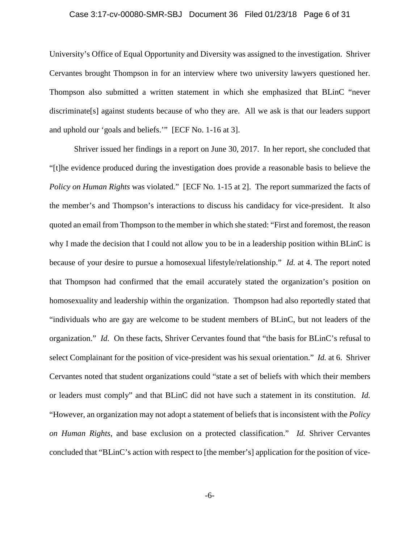## Case 3:17-cv-00080-SMR-SBJ Document 36 Filed 01/23/18 Page 6 of 31

University's Office of Equal Opportunity and Diversity was assigned to the investigation. Shriver Cervantes brought Thompson in for an interview where two university lawyers questioned her. Thompson also submitted a written statement in which she emphasized that BLinC "never discriminate[s] against students because of who they are. All we ask is that our leaders support and uphold our 'goals and beliefs.'" [ECF No. 1-16 at 3].

Shriver issued her findings in a report on June 30, 2017. In her report, she concluded that "[t]he evidence produced during the investigation does provide a reasonable basis to believe the *Policy on Human Rights* was violated." [ECF No. 1-15 at 2]. The report summarized the facts of the member's and Thompson's interactions to discuss his candidacy for vice-president. It also quoted an email from Thompson to the member in which she stated: "First and foremost, the reason why I made the decision that I could not allow you to be in a leadership position within BLinC is because of your desire to pursue a homosexual lifestyle/relationship." *Id.* at 4. The report noted that Thompson had confirmed that the email accurately stated the organization's position on homosexuality and leadership within the organization. Thompson had also reportedly stated that "individuals who are gay are welcome to be student members of BLinC, but not leaders of the organization." *Id.* On these facts, Shriver Cervantes found that "the basis for BLinC's refusal to select Complainant for the position of vice-president was his sexual orientation." *Id.* at 6. Shriver Cervantes noted that student organizations could "state a set of beliefs with which their members or leaders must comply" and that BLinC did not have such a statement in its constitution. *Id.*  "However, an organization may not adopt a statement of beliefs that is inconsistent with the *Policy on Human Rights*, and base exclusion on a protected classification." *Id.* Shriver Cervantes concluded that "BLinC's action with respect to [the member's] application for the position of vice-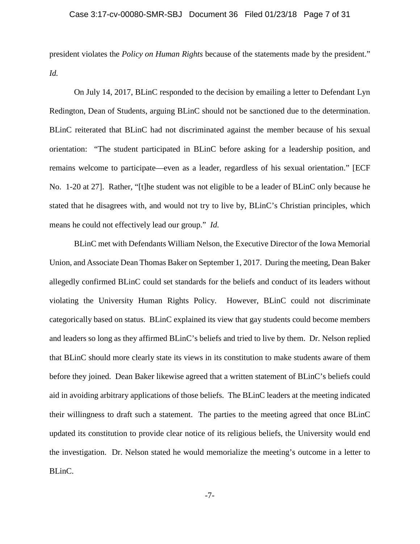## Case 3:17-cv-00080-SMR-SBJ Document 36 Filed 01/23/18 Page 7 of 31

president violates the *Policy on Human Rights* because of the statements made by the president." *Id.* 

 On July 14, 2017, BLinC responded to the decision by emailing a letter to Defendant Lyn Redington, Dean of Students, arguing BLinC should not be sanctioned due to the determination. BLinC reiterated that BLinC had not discriminated against the member because of his sexual orientation: "The student participated in BLinC before asking for a leadership position, and remains welcome to participate—even as a leader, regardless of his sexual orientation." [ECF No. 1-20 at 27]. Rather, "[t]he student was not eligible to be a leader of BLinC only because he stated that he disagrees with, and would not try to live by, BLinC's Christian principles, which means he could not effectively lead our group." *Id.* 

BLinC met with Defendants William Nelson, the Executive Director of the Iowa Memorial Union, and Associate Dean Thomas Baker on September 1, 2017. During the meeting, Dean Baker allegedly confirmed BLinC could set standards for the beliefs and conduct of its leaders without violating the University Human Rights Policy. However, BLinC could not discriminate categorically based on status. BLinC explained its view that gay students could become members and leaders so long as they affirmed BLinC's beliefs and tried to live by them. Dr. Nelson replied that BLinC should more clearly state its views in its constitution to make students aware of them before they joined. Dean Baker likewise agreed that a written statement of BLinC's beliefs could aid in avoiding arbitrary applications of those beliefs. The BLinC leaders at the meeting indicated their willingness to draft such a statement. The parties to the meeting agreed that once BLinC updated its constitution to provide clear notice of its religious beliefs, the University would end the investigation. Dr. Nelson stated he would memorialize the meeting's outcome in a letter to BLinC.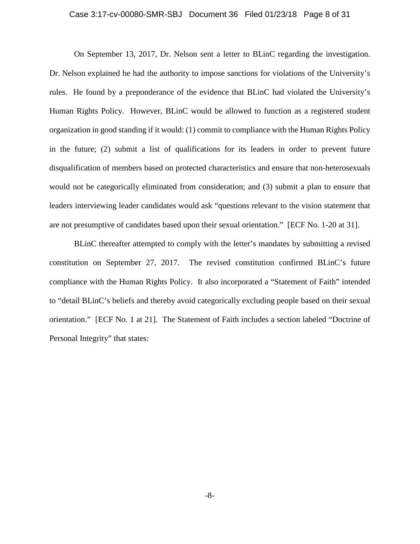## Case 3:17-cv-00080-SMR-SBJ Document 36 Filed 01/23/18 Page 8 of 31

On September 13, 2017, Dr. Nelson sent a letter to BLinC regarding the investigation. Dr. Nelson explained he had the authority to impose sanctions for violations of the University's rules. He found by a preponderance of the evidence that BLinC had violated the University's Human Rights Policy. However, BLinC would be allowed to function as a registered student organization in good standing if it would: (1) commit to compliance with the Human Rights Policy in the future; (2) submit a list of qualifications for its leaders in order to prevent future disqualification of members based on protected characteristics and ensure that non-heterosexuals would not be categorically eliminated from consideration; and (3) submit a plan to ensure that leaders interviewing leader candidates would ask "questions relevant to the vision statement that are not presumptive of candidates based upon their sexual orientation." [ECF No. 1-20 at 31].

BLinC thereafter attempted to comply with the letter's mandates by submitting a revised constitution on September 27, 2017. The revised constitution confirmed BLinC's future compliance with the Human Rights Policy. It also incorporated a "Statement of Faith" intended to "detail BLinC's beliefs and thereby avoid categorically excluding people based on their sexual orientation." [ECF No. 1 at 21]. The Statement of Faith includes a section labeled "Doctrine of Personal Integrity" that states: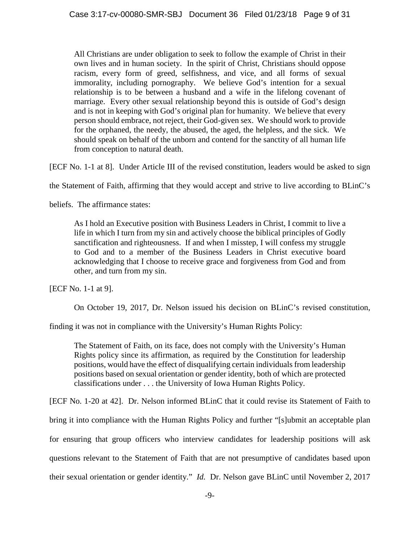All Christians are under obligation to seek to follow the example of Christ in their own lives and in human society. In the spirit of Christ, Christians should oppose racism, every form of greed, selfishness, and vice, and all forms of sexual immorality, including pornography. We believe God's intention for a sexual relationship is to be between a husband and a wife in the lifelong covenant of marriage. Every other sexual relationship beyond this is outside of God's design and is not in keeping with God's original plan for humanity. We believe that every person should embrace, not reject, their God-given sex. We should work to provide for the orphaned, the needy, the abused, the aged, the helpless, and the sick. We should speak on behalf of the unborn and contend for the sanctity of all human life from conception to natural death.

[ECF No. 1-1 at 8]. Under Article III of the revised constitution, leaders would be asked to sign

the Statement of Faith, affirming that they would accept and strive to live according to BLinC's

beliefs. The affirmance states:

As I hold an Executive position with Business Leaders in Christ, I commit to live a life in which I turn from my sin and actively choose the biblical principles of Godly sanctification and righteousness. If and when I misstep, I will confess my struggle to God and to a member of the Business Leaders in Christ executive board acknowledging that I choose to receive grace and forgiveness from God and from other, and turn from my sin.

[ECF No. 1-1 at 9].

On October 19, 2017, Dr. Nelson issued his decision on BLinC's revised constitution,

finding it was not in compliance with the University's Human Rights Policy:

The Statement of Faith, on its face, does not comply with the University's Human Rights policy since its affirmation, as required by the Constitution for leadership positions, would have the effect of disqualifying certain individuals from leadership positions based on sexual orientation or gender identity, both of which are protected classifications under . . . the University of Iowa Human Rights Policy.

[ECF No. 1-20 at 42]. Dr. Nelson informed BLinC that it could revise its Statement of Faith to

bring it into compliance with the Human Rights Policy and further "[s]ubmit an acceptable plan

for ensuring that group officers who interview candidates for leadership positions will ask

questions relevant to the Statement of Faith that are not presumptive of candidates based upon

their sexual orientation or gender identity." *Id.* Dr. Nelson gave BLinC until November 2, 2017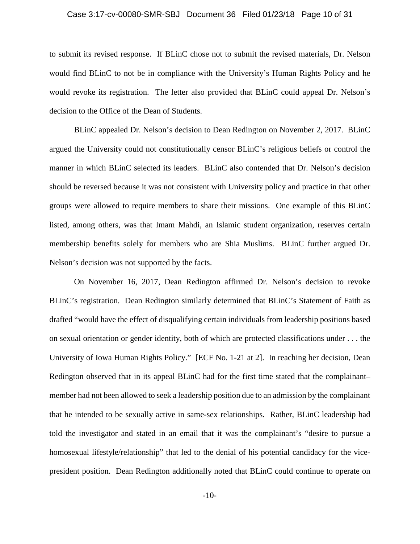#### Case 3:17-cv-00080-SMR-SBJ Document 36 Filed 01/23/18 Page 10 of 31

to submit its revised response. If BLinC chose not to submit the revised materials, Dr. Nelson would find BLinC to not be in compliance with the University's Human Rights Policy and he would revoke its registration. The letter also provided that BLinC could appeal Dr. Nelson's decision to the Office of the Dean of Students.

BLinC appealed Dr. Nelson's decision to Dean Redington on November 2, 2017. BLinC argued the University could not constitutionally censor BLinC's religious beliefs or control the manner in which BLinC selected its leaders. BLinC also contended that Dr. Nelson's decision should be reversed because it was not consistent with University policy and practice in that other groups were allowed to require members to share their missions. One example of this BLinC listed, among others, was that Imam Mahdi, an Islamic student organization, reserves certain membership benefits solely for members who are Shia Muslims. BLinC further argued Dr. Nelson's decision was not supported by the facts.

On November 16, 2017, Dean Redington affirmed Dr. Nelson's decision to revoke BLinC's registration. Dean Redington similarly determined that BLinC's Statement of Faith as drafted "would have the effect of disqualifying certain individuals from leadership positions based on sexual orientation or gender identity, both of which are protected classifications under . . . the University of Iowa Human Rights Policy." [ECF No. 1-21 at 2]. In reaching her decision, Dean Redington observed that in its appeal BLinC had for the first time stated that the complainant– member had not been allowed to seek a leadership position due to an admission by the complainant that he intended to be sexually active in same-sex relationships. Rather, BLinC leadership had told the investigator and stated in an email that it was the complainant's "desire to pursue a homosexual lifestyle/relationship" that led to the denial of his potential candidacy for the vicepresident position. Dean Redington additionally noted that BLinC could continue to operate on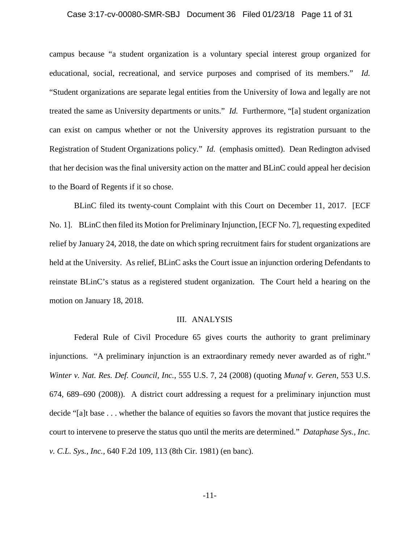#### Case 3:17-cv-00080-SMR-SBJ Document 36 Filed 01/23/18 Page 11 of 31

campus because "a student organization is a voluntary special interest group organized for educational, social, recreational, and service purposes and comprised of its members." *Id.* "Student organizations are separate legal entities from the University of Iowa and legally are not treated the same as University departments or units." *Id.* Furthermore, "[a] student organization can exist on campus whether or not the University approves its registration pursuant to the Registration of Student Organizations policy." *Id.* (emphasis omitted). Dean Redington advised that her decision was the final university action on the matter and BLinC could appeal her decision to the Board of Regents if it so chose.

BLinC filed its twenty-count Complaint with this Court on December 11, 2017. [ECF No. 1]. BLinC then filed its Motion for Preliminary Injunction, [ECF No. 7], requesting expedited relief by January 24, 2018, the date on which spring recruitment fairs for student organizations are held at the University. As relief, BLinC asks the Court issue an injunction ordering Defendants to reinstate BLinC's status as a registered student organization. The Court held a hearing on the motion on January 18, 2018.

#### III. ANALYSIS

Federal Rule of Civil Procedure 65 gives courts the authority to grant preliminary injunctions. "A preliminary injunction is an extraordinary remedy never awarded as of right." *Winter v. Nat. Res. Def. Council, Inc.*, 555 U.S. 7, 24 (2008) (quoting *Munaf v. Geren*, 553 U.S. 674, 689–690 (2008)). A district court addressing a request for a preliminary injunction must decide "[a]t base . . . whether the balance of equities so favors the movant that justice requires the court to intervene to preserve the status quo until the merits are determined." *Dataphase Sys., Inc. v. C.L. Sys., Inc.*, 640 F.2d 109, 113 (8th Cir. 1981) (en banc).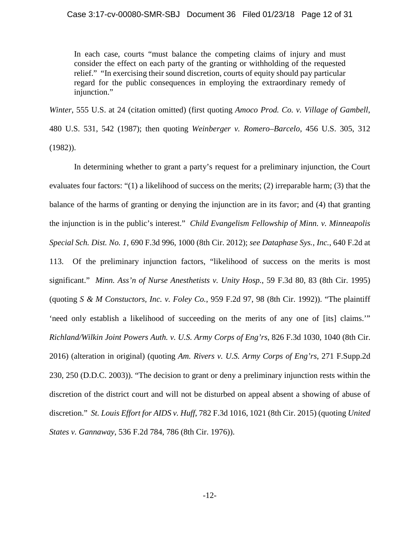## Case 3:17-cv-00080-SMR-SBJ Document 36 Filed 01/23/18 Page 12 of 31

In each case, courts "must balance the competing claims of injury and must consider the effect on each party of the granting or withholding of the requested relief." "In exercising their sound discretion, courts of equity should pay particular regard for the public consequences in employing the extraordinary remedy of injunction."

*Winter*, 555 U.S. at 24 (citation omitted) (first quoting *Amoco Prod. Co. v. Village of Gambell*, 480 U.S. 531, 542 (1987); then quoting *Weinberger v. Romero–Barcelo*, 456 U.S. 305, 312 (1982)).

In determining whether to grant a party's request for a preliminary injunction, the Court evaluates four factors: "(1) a likelihood of success on the merits; (2) irreparable harm; (3) that the balance of the harms of granting or denying the injunction are in its favor; and (4) that granting the injunction is in the public's interest." *Child Evangelism Fellowship of Minn. v. Minneapolis Special Sch. Dist. No. 1*, 690 F.3d 996, 1000 (8th Cir. 2012); *see Dataphase Sys., Inc.*, 640 F.2d at 113. Of the preliminary injunction factors, "likelihood of success on the merits is most significant." *Minn. Ass'n of Nurse Anesthetists v. Unity Hosp.*, 59 F.3d 80, 83 (8th Cir. 1995) (quoting *S & M Constuctors, Inc. v. Foley Co.*, 959 F.2d 97, 98 (8th Cir. 1992)). "The plaintiff 'need only establish a likelihood of succeeding on the merits of any one of [its] claims.'" *Richland/Wilkin Joint Powers Auth. v. U.S. Army Corps of Eng'rs*, 826 F.3d 1030, 1040 (8th Cir. 2016) (alteration in original) (quoting *Am. Rivers v. U.S. Army Corps of Eng'rs*, 271 F.Supp.2d 230, 250 (D.D.C. 2003)). "The decision to grant or deny a preliminary injunction rests within the discretion of the district court and will not be disturbed on appeal absent a showing of abuse of discretion." *St. Louis Effort for AIDS v. Huff*, 782 F.3d 1016, 1021 (8th Cir. 2015) (quoting *United States v. Gannaway*, 536 F.2d 784, 786 (8th Cir. 1976)).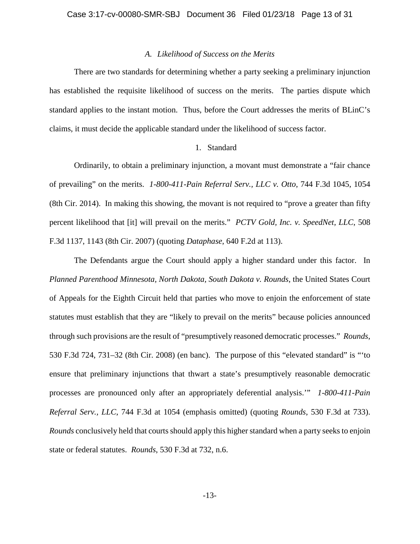## *A. Likelihood of Success on the Merits*

There are two standards for determining whether a party seeking a preliminary injunction has established the requisite likelihood of success on the merits. The parties dispute which standard applies to the instant motion. Thus, before the Court addresses the merits of BLinC's claims, it must decide the applicable standard under the likelihood of success factor.

# 1. Standard

Ordinarily, to obtain a preliminary injunction, a movant must demonstrate a "fair chance of prevailing" on the merits. *1-800-411-Pain Referral Serv., LLC v. Otto*, 744 F.3d 1045, 1054 (8th Cir. 2014). In making this showing, the movant is not required to "prove a greater than fifty percent likelihood that [it] will prevail on the merits." *PCTV Gold, Inc. v. SpeedNet, LLC*, 508 F.3d 1137, 1143 (8th Cir. 2007) (quoting *Dataphase*, 640 F.2d at 113).

The Defendants argue the Court should apply a higher standard under this factor. In *Planned Parenthood Minnesota, North Dakota, South Dakota v. Rounds*, the United States Court of Appeals for the Eighth Circuit held that parties who move to enjoin the enforcement of state statutes must establish that they are "likely to prevail on the merits" because policies announced through such provisions are the result of "presumptively reasoned democratic processes." *Rounds*, 530 F.3d 724, 731–32 (8th Cir. 2008) (en banc). The purpose of this "elevated standard" is "'to ensure that preliminary injunctions that thwart a state's presumptively reasonable democratic processes are pronounced only after an appropriately deferential analysis.'" *1-800-411-Pain Referral Serv., LLC*, 744 F.3d at 1054 (emphasis omitted) (quoting *Rounds*, 530 F.3d at 733). *Rounds* conclusively held that courts should apply this higher standard when a party seeks to enjoin state or federal statutes. *Rounds*, 530 F.3d at 732, n.6.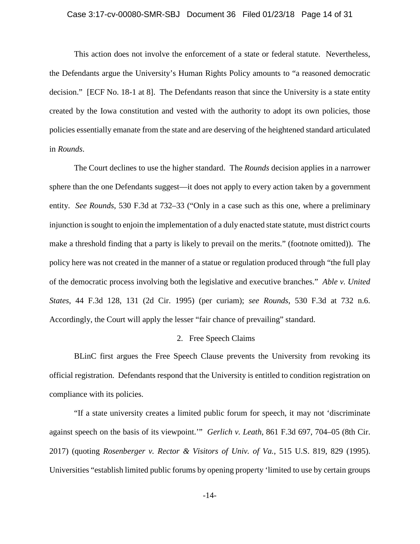## Case 3:17-cv-00080-SMR-SBJ Document 36 Filed 01/23/18 Page 14 of 31

This action does not involve the enforcement of a state or federal statute. Nevertheless, the Defendants argue the University's Human Rights Policy amounts to "a reasoned democratic decision." [ECF No. 18-1 at 8]. The Defendants reason that since the University is a state entity created by the Iowa constitution and vested with the authority to adopt its own policies, those policies essentially emanate from the state and are deserving of the heightened standard articulated in *Rounds*.

The Court declines to use the higher standard. The *Rounds* decision applies in a narrower sphere than the one Defendants suggest—it does not apply to every action taken by a government entity. *See Rounds*, 530 F.3d at 732–33 ("Only in a case such as this one, where a preliminary injunction is sought to enjoin the implementation of a duly enacted state statute, must district courts make a threshold finding that a party is likely to prevail on the merits." (footnote omitted)). The policy here was not created in the manner of a statue or regulation produced through "the full play of the democratic process involving both the legislative and executive branches." *Able v. United States*, 44 F.3d 128, 131 (2d Cir. 1995) (per curiam); *see Rounds*, 530 F.3d at 732 n.6. Accordingly, the Court will apply the lesser "fair chance of prevailing" standard.

# 2. Free Speech Claims

BLinC first argues the Free Speech Clause prevents the University from revoking its official registration. Defendants respond that the University is entitled to condition registration on compliance with its policies.

"If a state university creates a limited public forum for speech, it may not 'discriminate against speech on the basis of its viewpoint.'" *Gerlich v. Leath*, 861 F.3d 697, 704–05 (8th Cir. 2017) (quoting *Rosenberger v. Rector & Visitors of Univ. of Va.*, 515 U.S. 819, 829 (1995). Universities "establish limited public forums by opening property 'limited to use by certain groups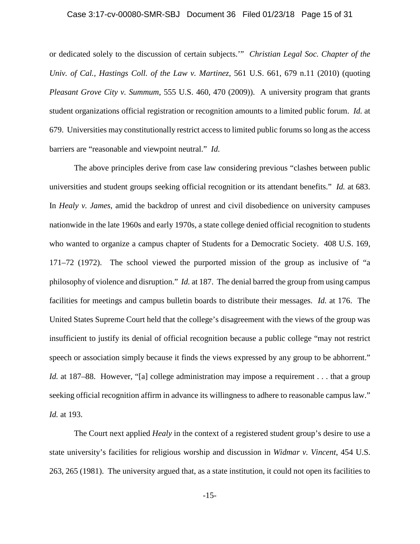#### Case 3:17-cv-00080-SMR-SBJ Document 36 Filed 01/23/18 Page 15 of 31

or dedicated solely to the discussion of certain subjects.'" *Christian Legal Soc. Chapter of the Univ. of Cal., Hastings Coll. of the Law v. Martinez*, 561 U.S. 661, 679 n.11 (2010) (quoting *Pleasant Grove City v. Summum*, 555 U.S. 460, 470 (2009)). A university program that grants student organizations official registration or recognition amounts to a limited public forum. *Id.* at 679. Universities may constitutionally restrict access to limited public forums so long as the access barriers are "reasonable and viewpoint neutral." *Id.* 

The above principles derive from case law considering previous "clashes between public universities and student groups seeking official recognition or its attendant benefits." *Id.* at 683. In *Healy v. James*, amid the backdrop of unrest and civil disobedience on university campuses nationwide in the late 1960s and early 1970s, a state college denied official recognition to students who wanted to organize a campus chapter of Students for a Democratic Society. 408 U.S. 169, 171–72 (1972). The school viewed the purported mission of the group as inclusive of "a philosophy of violence and disruption." *Id.* at 187. The denial barred the group from using campus facilities for meetings and campus bulletin boards to distribute their messages. *Id.* at 176. The United States Supreme Court held that the college's disagreement with the views of the group was insufficient to justify its denial of official recognition because a public college "may not restrict speech or association simply because it finds the views expressed by any group to be abhorrent." *Id.* at 187–88. However, "[a] college administration may impose a requirement . . . that a group seeking official recognition affirm in advance its willingness to adhere to reasonable campus law." *Id.* at 193.

The Court next applied *Healy* in the context of a registered student group's desire to use a state university's facilities for religious worship and discussion in *Widmar v. Vincent*, 454 U.S. 263, 265 (1981). The university argued that, as a state institution, it could not open its facilities to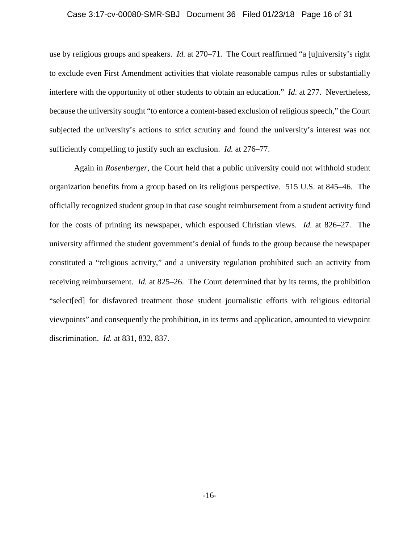#### Case 3:17-cv-00080-SMR-SBJ Document 36 Filed 01/23/18 Page 16 of 31

use by religious groups and speakers. *Id.* at 270–71. The Court reaffirmed "a [u]niversity's right to exclude even First Amendment activities that violate reasonable campus rules or substantially interfere with the opportunity of other students to obtain an education." *Id.* at 277.Nevertheless, because the university sought "to enforce a content-based exclusion of religious speech," the Court subjected the university's actions to strict scrutiny and found the university's interest was not sufficiently compelling to justify such an exclusion. *Id.* at 276–77.

Again in *Rosenberger*, the Court held that a public university could not withhold student organization benefits from a group based on its religious perspective. 515 U.S. at 845–46. The officially recognized student group in that case sought reimbursement from a student activity fund for the costs of printing its newspaper, which espoused Christian views. *Id.* at 826–27. The university affirmed the student government's denial of funds to the group because the newspaper constituted a "religious activity," and a university regulation prohibited such an activity from receiving reimbursement. *Id.* at 825–26. The Court determined that by its terms, the prohibition "select[ed] for disfavored treatment those student journalistic efforts with religious editorial viewpoints" and consequently the prohibition, in its terms and application, amounted to viewpoint discrimination. *Id.* at 831, 832, 837.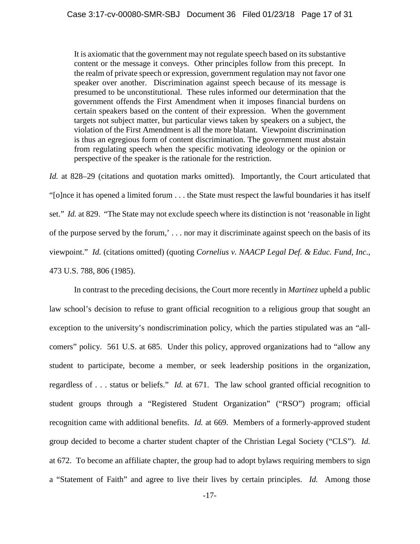It is axiomatic that the government may not regulate speech based on its substantive content or the message it conveys. Other principles follow from this precept. In the realm of private speech or expression, government regulation may not favor one speaker over another. Discrimination against speech because of its message is presumed to be unconstitutional. These rules informed our determination that the government offends the First Amendment when it imposes financial burdens on certain speakers based on the content of their expression. When the government targets not subject matter, but particular views taken by speakers on a subject, the violation of the First Amendment is all the more blatant. Viewpoint discrimination is thus an egregious form of content discrimination. The government must abstain from regulating speech when the specific motivating ideology or the opinion or perspective of the speaker is the rationale for the restriction.

*Id.* at 828–29 (citations and quotation marks omitted). Importantly, the Court articulated that "[o]nce it has opened a limited forum . . . the State must respect the lawful boundaries it has itself set." *Id.* at 829. "The State may not exclude speech where its distinction is not 'reasonable in light of the purpose served by the forum,' . . . nor may it discriminate against speech on the basis of its viewpoint." *Id.* (citations omitted) (quoting *Cornelius v. NAACP Legal Def. & Educ. Fund, Inc*., 473 U.S. 788, 806 (1985).

In contrast to the preceding decisions, the Court more recently in *Martinez* upheld a public law school's decision to refuse to grant official recognition to a religious group that sought an exception to the university's nondiscrimination policy, which the parties stipulated was an "allcomers" policy. 561 U.S. at 685. Under this policy, approved organizations had to "allow any student to participate, become a member, or seek leadership positions in the organization, regardless of . . . status or beliefs." *Id.* at 671. The law school granted official recognition to student groups through a "Registered Student Organization" ("RSO") program; official recognition came with additional benefits. *Id.* at 669. Members of a formerly-approved student group decided to become a charter student chapter of the Christian Legal Society ("CLS"). *Id.* at 672.To become an affiliate chapter, the group had to adopt bylaws requiring members to sign a "Statement of Faith" and agree to live their lives by certain principles. *Id.* Among those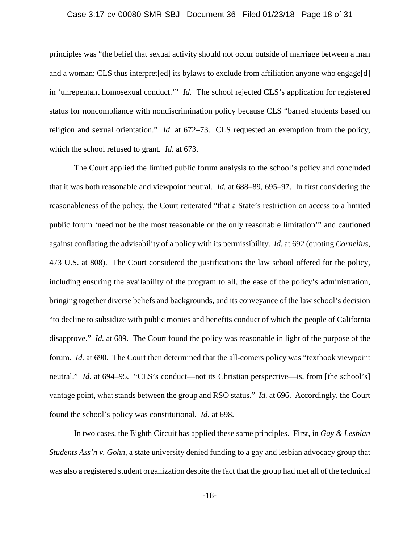## Case 3:17-cv-00080-SMR-SBJ Document 36 Filed 01/23/18 Page 18 of 31

principles was "the belief that sexual activity should not occur outside of marriage between a man and a woman; CLS thus interpret[ed] its bylaws to exclude from affiliation anyone who engage[d] in 'unrepentant homosexual conduct.'" *Id.* The school rejected CLS's application for registered status for noncompliance with nondiscrimination policy because CLS "barred students based on religion and sexual orientation." *Id.* at 672–73. CLS requested an exemption from the policy, which the school refused to grant. *Id.* at 673.

The Court applied the limited public forum analysis to the school's policy and concluded that it was both reasonable and viewpoint neutral. *Id.* at 688–89, 695–97. In first considering the reasonableness of the policy, the Court reiterated "that a State's restriction on access to a limited public forum 'need not be the most reasonable or the only reasonable limitation'" and cautioned against conflating the advisability of a policy with its permissibility. *Id.* at 692 (quoting *Cornelius*, 473 U.S. at 808). The Court considered the justifications the law school offered for the policy, including ensuring the availability of the program to all, the ease of the policy's administration, bringing together diverse beliefs and backgrounds, and its conveyance of the law school's decision "to decline to subsidize with public monies and benefits conduct of which the people of California disapprove." *Id.* at 689. The Court found the policy was reasonable in light of the purpose of the forum. *Id.* at 690. The Court then determined that the all-comers policy was "textbook viewpoint" neutral." *Id.* at 694–95. "CLS's conduct—not its Christian perspective—is, from [the school's] vantage point, what stands between the group and RSO status." *Id.* at 696. Accordingly, the Court found the school's policy was constitutional. *Id.* at 698.

In two cases, the Eighth Circuit has applied these same principles. First, in *Gay & Lesbian Students Ass'n v. Gohn*, a state university denied funding to a gay and lesbian advocacy group that was also a registered student organization despite the fact that the group had met all of the technical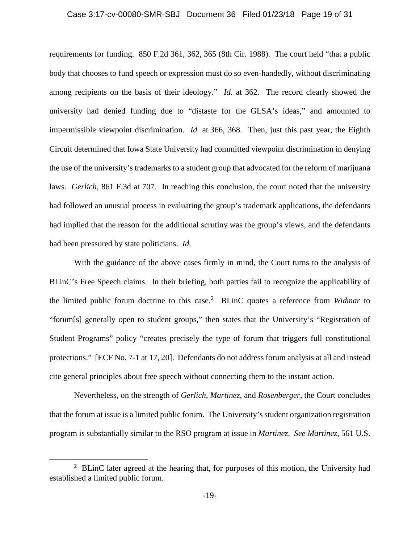## Case 3:17-cv-00080-SMR-SBJ Document 36 Filed 01/23/18 Page 19 of 31

requirements for funding. 850 F.2d 361, 362, 365 (8th Cir. 1988). The court held "that a public body that chooses to fund speech or expression must do so even-handedly, without discriminating among recipients on the basis of their ideology." *Id.* at 362. The record clearly showed the university had denied funding due to "distaste for the GLSA's ideas," and amounted to impermissible viewpoint discrimination. *Id.* at 366, 368. Then, just this past year, the Eighth Circuit determined that Iowa State University had committed viewpoint discrimination in denying the use of the university's trademarks to a student group that advocated for the reform of marijuana laws. *Gerlich*, 861 F.3d at 707. In reaching this conclusion, the court noted that the university had followed an unusual process in evaluating the group's trademark applications, the defendants had implied that the reason for the additional scrutiny was the group's views, and the defendants had been pressured by state politicians. *Id.* 

With the guidance of the above cases firmly in mind, the Court turns to the analysis of BLinC's Free Speech claims. In their briefing, both parties fail to recognize the applicability of the limited public forum doctrine to this case. 2 BLinC quotes a reference from *Widmar* to "forum[s] generally open to student groups," then states that the University's "Registration of Student Programs" policy "creates precisely the type of forum that triggers full constitutional protections." [ECF No. 7-1 at 17, 20]. Defendants do not address forum analysis at all and instead cite general principles about free speech without connecting them to the instant action.

Nevertheless, on the strength of *Gerlich*, *Martinez*, and *Rosenberger*, the Court concludes that the forum at issue is a limited public forum. The University's student organization registration program is substantially similar to the RSO program at issue in *Martinez*. *See Martinez*, 561 U.S.

 $\overline{a}$ 

<sup>&</sup>lt;sup>2</sup> BLinC later agreed at the hearing that, for purposes of this motion, the University had established a limited public forum.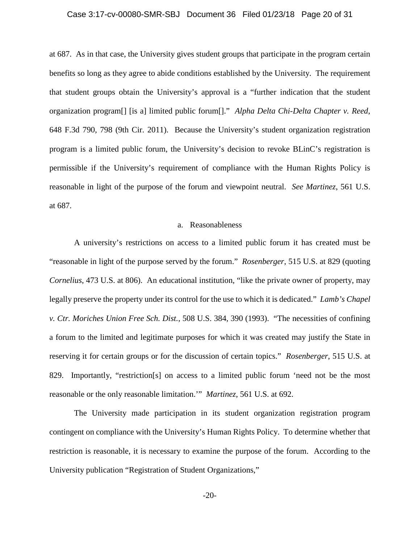#### Case 3:17-cv-00080-SMR-SBJ Document 36 Filed 01/23/18 Page 20 of 31

at 687. As in that case, the University gives student groups that participate in the program certain benefits so long as they agree to abide conditions established by the University. The requirement that student groups obtain the University's approval is a "further indication that the student organization program[] [is a] limited public forum[]." *Alpha Delta Chi-Delta Chapter v. Reed*, 648 F.3d 790, 798 (9th Cir. 2011). Because the University's student organization registration program is a limited public forum, the University's decision to revoke BLinC's registration is permissible if the University's requirement of compliance with the Human Rights Policy is reasonable in light of the purpose of the forum and viewpoint neutral. *See Martinez*, 561 U.S. at 687.

## a. Reasonableness

A university's restrictions on access to a limited public forum it has created must be "reasonable in light of the purpose served by the forum." *Rosenberger*, 515 U.S. at 829 (quoting *Cornelius*, 473 U.S. at 806). An educational institution, "like the private owner of property, may legally preserve the property under its control for the use to which it is dedicated." *Lamb's Chapel v. Ctr. Moriches Union Free Sch. Dist.*, 508 U.S. 384, 390 (1993). "The necessities of confining a forum to the limited and legitimate purposes for which it was created may justify the State in reserving it for certain groups or for the discussion of certain topics." *Rosenberger*, 515 U.S. at 829. Importantly, "restriction[s] on access to a limited public forum 'need not be the most reasonable or the only reasonable limitation.'" *Martinez*, 561 U.S. at 692.

The University made participation in its student organization registration program contingent on compliance with the University's Human Rights Policy. To determine whether that restriction is reasonable, it is necessary to examine the purpose of the forum. According to the University publication "Registration of Student Organizations,"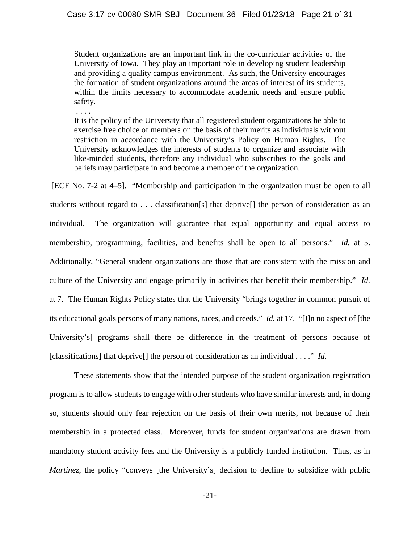Student organizations are an important link in the co-curricular activities of the University of Iowa. They play an important role in developing student leadership and providing a quality campus environment. As such, the University encourages the formation of student organizations around the areas of interest of its students, within the limits necessary to accommodate academic needs and ensure public safety.

. . . .

It is the policy of the University that all registered student organizations be able to exercise free choice of members on the basis of their merits as individuals without restriction in accordance with the University's Policy on Human Rights. The University acknowledges the interests of students to organize and associate with like-minded students, therefore any individual who subscribes to the goals and beliefs may participate in and become a member of the organization.

[ECF No. 7-2 at 4–5]. "Membership and participation in the organization must be open to all students without regard to . . . classification[s] that deprive[] the person of consideration as an individual. The organization will guarantee that equal opportunity and equal access to membership, programming, facilities, and benefits shall be open to all persons." *Id.* at 5. Additionally, "General student organizations are those that are consistent with the mission and culture of the University and engage primarily in activities that benefit their membership." *Id.*  at 7. The Human Rights Policy states that the University "brings together in common pursuit of its educational goals persons of many nations, races, and creeds." *Id.* at 17. "[I]n no aspect of [the University's] programs shall there be difference in the treatment of persons because of [classifications] that deprive<sup>[]</sup> the person of consideration as an individual . . . ." *Id.* 

These statements show that the intended purpose of the student organization registration program is to allow students to engage with other students who have similar interests and, in doing so, students should only fear rejection on the basis of their own merits, not because of their membership in a protected class. Moreover, funds for student organizations are drawn from mandatory student activity fees and the University is a publicly funded institution. Thus, as in *Martinez*, the policy "conveys [the University's] decision to decline to subsidize with public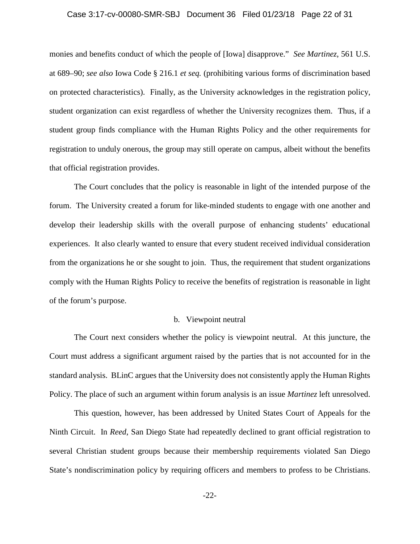#### Case 3:17-cv-00080-SMR-SBJ Document 36 Filed 01/23/18 Page 22 of 31

monies and benefits conduct of which the people of [Iowa] disapprove." *See Martinez*, 561 U.S. at 689–90; *see also* Iowa Code § 216.1 *et seq.* (prohibiting various forms of discrimination based on protected characteristics). Finally, as the University acknowledges in the registration policy, student organization can exist regardless of whether the University recognizes them. Thus, if a student group finds compliance with the Human Rights Policy and the other requirements for registration to unduly onerous, the group may still operate on campus, albeit without the benefits that official registration provides.

The Court concludes that the policy is reasonable in light of the intended purpose of the forum. The University created a forum for like-minded students to engage with one another and develop their leadership skills with the overall purpose of enhancing students' educational experiences. It also clearly wanted to ensure that every student received individual consideration from the organizations he or she sought to join. Thus, the requirement that student organizations comply with the Human Rights Policy to receive the benefits of registration is reasonable in light of the forum's purpose.

#### b. Viewpoint neutral

The Court next considers whether the policy is viewpoint neutral. At this juncture, the Court must address a significant argument raised by the parties that is not accounted for in the standard analysis. BLinC argues that the University does not consistently apply the Human Rights Policy. The place of such an argument within forum analysis is an issue *Martinez* left unresolved.

This question, however, has been addressed by United States Court of Appeals for the Ninth Circuit. In *Reed*, San Diego State had repeatedly declined to grant official registration to several Christian student groups because their membership requirements violated San Diego State's nondiscrimination policy by requiring officers and members to profess to be Christians.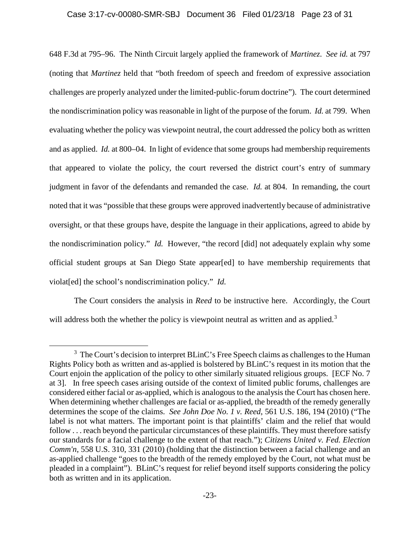## Case 3:17-cv-00080-SMR-SBJ Document 36 Filed 01/23/18 Page 23 of 31

648 F.3d at 795–96. The Ninth Circuit largely applied the framework of *Martinez*. *See id.* at 797 (noting that *Martinez* held that "both freedom of speech and freedom of expressive association challenges are properly analyzed under the limited-public-forum doctrine"). The court determined the nondiscrimination policy was reasonable in light of the purpose of the forum. *Id.* at 799. When evaluating whether the policy was viewpoint neutral, the court addressed the policy both as written and as applied. *Id.* at 800–04. In light of evidence that some groups had membership requirements that appeared to violate the policy, the court reversed the district court's entry of summary judgment in favor of the defendants and remanded the case. *Id.* at 804. In remanding, the court noted that it was "possible that these groups were approved inadvertently because of administrative oversight, or that these groups have, despite the language in their applications, agreed to abide by the nondiscrimination policy." *Id.* However, "the record [did] not adequately explain why some official student groups at San Diego State appear[ed] to have membership requirements that violat[ed] the school's nondiscrimination policy." *Id.* 

The Court considers the analysis in *Reed* to be instructive here. Accordingly, the Court will address both the whether the policy is viewpoint neutral as written and as applied.<sup>3</sup>

 $\overline{a}$ 

<sup>&</sup>lt;sup>3</sup> The Court's decision to interpret BLinC's Free Speech claims as challenges to the Human Rights Policy both as written and as-applied is bolstered by BLinC's request in its motion that the Court enjoin the application of the policy to other similarly situated religious groups. [ECF No. 7 at 3]. In free speech cases arising outside of the context of limited public forums, challenges are considered either facial or as-applied, which is analogous to the analysis the Court has chosen here. When determining whether challenges are facial or as-applied, the breadth of the remedy generally determines the scope of the claims. *See John Doe No. 1 v. Reed*, 561 U.S. 186, 194 (2010) ("The label is not what matters. The important point is that plaintiffs' claim and the relief that would follow . . . reach beyond the particular circumstances of these plaintiffs. They must therefore satisfy our standards for a facial challenge to the extent of that reach."); *Citizens United v. Fed. Election Comm'n*, 558 U.S. 310, 331 (2010) (holding that the distinction between a facial challenge and an as-applied challenge "goes to the breadth of the remedy employed by the Court, not what must be pleaded in a complaint"). BLinC's request for relief beyond itself supports considering the policy both as written and in its application.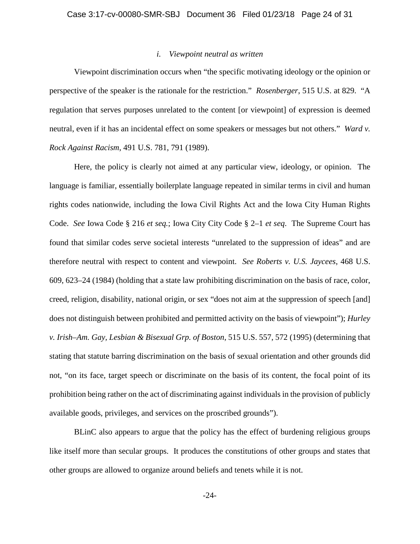#### *i. Viewpoint neutral as written*

Viewpoint discrimination occurs when "the specific motivating ideology or the opinion or perspective of the speaker is the rationale for the restriction." *Rosenberger*, 515 U.S. at 829. "A regulation that serves purposes unrelated to the content [or viewpoint] of expression is deemed neutral, even if it has an incidental effect on some speakers or messages but not others." *Ward v. Rock Against Racism*, 491 U.S. 781, 791 (1989).

Here, the policy is clearly not aimed at any particular view, ideology, or opinion. The language is familiar, essentially boilerplate language repeated in similar terms in civil and human rights codes nationwide, including the Iowa Civil Rights Act and the Iowa City Human Rights Code. *See* Iowa Code § 216 *et seq.*; Iowa City City Code § 2–1 *et seq*. The Supreme Court has found that similar codes serve societal interests "unrelated to the suppression of ideas" and are therefore neutral with respect to content and viewpoint. *See Roberts v. U.S. Jaycees*, 468 U.S. 609, 623–24 (1984) (holding that a state law prohibiting discrimination on the basis of race, color, creed, religion, disability, national origin, or sex "does not aim at the suppression of speech [and] does not distinguish between prohibited and permitted activity on the basis of viewpoint"); *Hurley v. Irish–Am. Gay, Lesbian & Bisexual Grp. of Boston*, 515 U.S. 557, 572 (1995) (determining that stating that statute barring discrimination on the basis of sexual orientation and other grounds did not, "on its face, target speech or discriminate on the basis of its content, the focal point of its prohibition being rather on the act of discriminating against individuals in the provision of publicly available goods, privileges, and services on the proscribed grounds").

BLinC also appears to argue that the policy has the effect of burdening religious groups like itself more than secular groups. It produces the constitutions of other groups and states that other groups are allowed to organize around beliefs and tenets while it is not.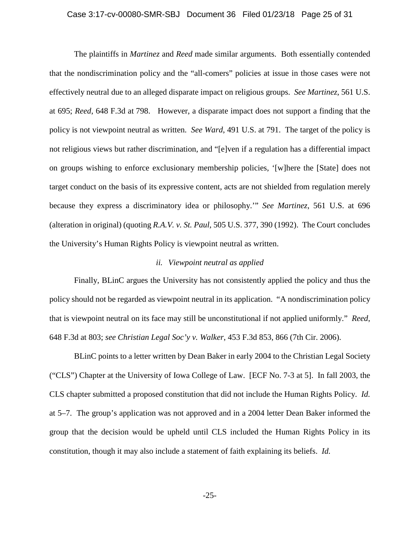#### Case 3:17-cv-00080-SMR-SBJ Document 36 Filed 01/23/18 Page 25 of 31

The plaintiffs in *Martinez* and *Reed* made similar arguments. Both essentially contended that the nondiscrimination policy and the "all-comers" policies at issue in those cases were not effectively neutral due to an alleged disparate impact on religious groups. *See Martinez*, 561 U.S. at 695; *Reed*, 648 F.3d at 798. However, a disparate impact does not support a finding that the policy is not viewpoint neutral as written. *See Ward*, 491 U.S. at 791. The target of the policy is not religious views but rather discrimination, and "[e]ven if a regulation has a differential impact on groups wishing to enforce exclusionary membership policies, '[w]here the [State] does not target conduct on the basis of its expressive content, acts are not shielded from regulation merely because they express a discriminatory idea or philosophy.'" *See Martinez*, 561 U.S. at 696 (alteration in original) (quoting *R.A.V. v. St. Paul*, 505 U.S. 377, 390 (1992). The Court concludes the University's Human Rights Policy is viewpoint neutral as written.

## *ii. Viewpoint neutral as applied*

 Finally, BLinC argues the University has not consistently applied the policy and thus the policy should not be regarded as viewpoint neutral in its application. "A nondiscrimination policy that is viewpoint neutral on its face may still be unconstitutional if not applied uniformly." *Reed*, 648 F.3d at 803; *see Christian Legal Soc'y v. Walker*, 453 F.3d 853, 866 (7th Cir. 2006).

BLinC points to a letter written by Dean Baker in early 2004 to the Christian Legal Society ("CLS") Chapter at the University of Iowa College of Law. [ECF No. 7-3 at 5]. In fall 2003, the CLS chapter submitted a proposed constitution that did not include the Human Rights Policy. *Id.*  at 5–7. The group's application was not approved and in a 2004 letter Dean Baker informed the group that the decision would be upheld until CLS included the Human Rights Policy in its constitution, though it may also include a statement of faith explaining its beliefs. *Id.*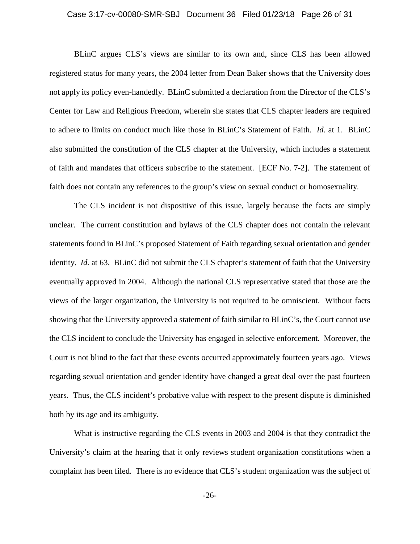## Case 3:17-cv-00080-SMR-SBJ Document 36 Filed 01/23/18 Page 26 of 31

BLinC argues CLS's views are similar to its own and, since CLS has been allowed registered status for many years, the 2004 letter from Dean Baker shows that the University does not apply its policy even-handedly. BLinC submitted a declaration from the Director of the CLS's Center for Law and Religious Freedom, wherein she states that CLS chapter leaders are required to adhere to limits on conduct much like those in BLinC's Statement of Faith. *Id.* at 1. BLinC also submitted the constitution of the CLS chapter at the University, which includes a statement of faith and mandates that officers subscribe to the statement. [ECF No. 7-2]. The statement of faith does not contain any references to the group's view on sexual conduct or homosexuality.

The CLS incident is not dispositive of this issue, largely because the facts are simply unclear. The current constitution and bylaws of the CLS chapter does not contain the relevant statements found in BLinC's proposed Statement of Faith regarding sexual orientation and gender identity. *Id.* at 63. BLinC did not submit the CLS chapter's statement of faith that the University eventually approved in 2004. Although the national CLS representative stated that those are the views of the larger organization, the University is not required to be omniscient. Without facts showing that the University approved a statement of faith similar to BLinC's, the Court cannot use the CLS incident to conclude the University has engaged in selective enforcement. Moreover, the Court is not blind to the fact that these events occurred approximately fourteen years ago. Views regarding sexual orientation and gender identity have changed a great deal over the past fourteen years. Thus, the CLS incident's probative value with respect to the present dispute is diminished both by its age and its ambiguity.

What is instructive regarding the CLS events in 2003 and 2004 is that they contradict the University's claim at the hearing that it only reviews student organization constitutions when a complaint has been filed. There is no evidence that CLS's student organization was the subject of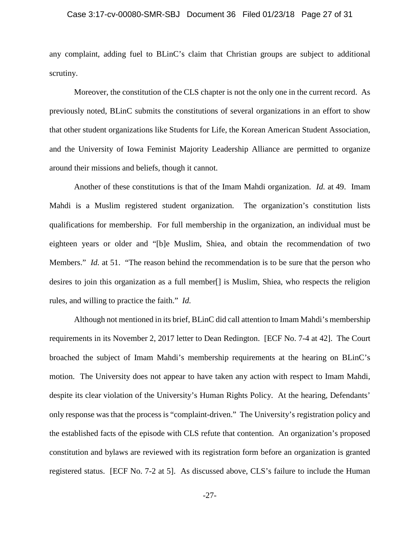## Case 3:17-cv-00080-SMR-SBJ Document 36 Filed 01/23/18 Page 27 of 31

any complaint, adding fuel to BLinC's claim that Christian groups are subject to additional scrutiny.

Moreover, the constitution of the CLS chapter is not the only one in the current record. As previously noted, BLinC submits the constitutions of several organizations in an effort to show that other student organizations like Students for Life, the Korean American Student Association, and the University of Iowa Feminist Majority Leadership Alliance are permitted to organize around their missions and beliefs, though it cannot.

Another of these constitutions is that of the Imam Mahdi organization. *Id.* at 49. Imam Mahdi is a Muslim registered student organization. The organization's constitution lists qualifications for membership. For full membership in the organization, an individual must be eighteen years or older and "[b]e Muslim, Shiea, and obtain the recommendation of two Members." *Id.* at 51. "The reason behind the recommendation is to be sure that the person who desires to join this organization as a full member[] is Muslim, Shiea, who respects the religion rules, and willing to practice the faith." *Id.* 

Although not mentioned in its brief, BLinC did call attention to Imam Mahdi's membership requirements in its November 2, 2017 letter to Dean Redington. [ECF No. 7-4 at 42]. The Court broached the subject of Imam Mahdi's membership requirements at the hearing on BLinC's motion. The University does not appear to have taken any action with respect to Imam Mahdi, despite its clear violation of the University's Human Rights Policy. At the hearing, Defendants' only response was that the process is "complaint-driven." The University's registration policy and the established facts of the episode with CLS refute that contention. An organization's proposed constitution and bylaws are reviewed with its registration form before an organization is granted registered status. [ECF No. 7-2 at 5]. As discussed above, CLS's failure to include the Human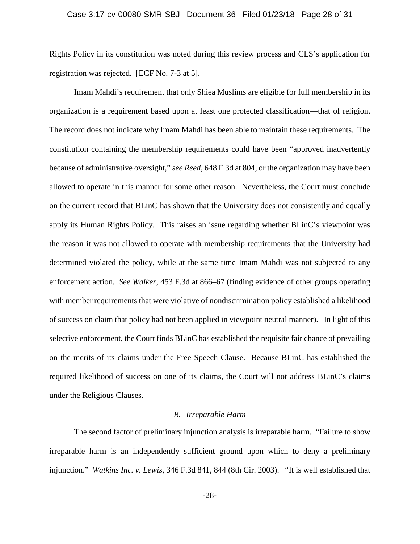#### Case 3:17-cv-00080-SMR-SBJ Document 36 Filed 01/23/18 Page 28 of 31

Rights Policy in its constitution was noted during this review process and CLS's application for registration was rejected. [ECF No. 7-3 at 5].

Imam Mahdi's requirement that only Shiea Muslims are eligible for full membership in its organization is a requirement based upon at least one protected classification—that of religion. The record does not indicate why Imam Mahdi has been able to maintain these requirements. The constitution containing the membership requirements could have been "approved inadvertently because of administrative oversight," *see Reed*, 648 F.3d at 804, or the organization may have been allowed to operate in this manner for some other reason. Nevertheless, the Court must conclude on the current record that BLinC has shown that the University does not consistently and equally apply its Human Rights Policy. This raises an issue regarding whether BLinC's viewpoint was the reason it was not allowed to operate with membership requirements that the University had determined violated the policy, while at the same time Imam Mahdi was not subjected to any enforcement action. *See Walker*, 453 F.3d at 866–67 (finding evidence of other groups operating with member requirements that were violative of nondiscrimination policy established a likelihood of success on claim that policy had not been applied in viewpoint neutral manner). In light of this selective enforcement, the Court finds BLinC has established the requisite fair chance of prevailing on the merits of its claims under the Free Speech Clause. Because BLinC has established the required likelihood of success on one of its claims, the Court will not address BLinC's claims under the Religious Clauses.

# *B. Irreparable Harm*

The second factor of preliminary injunction analysis is irreparable harm. "Failure to show irreparable harm is an independently sufficient ground upon which to deny a preliminary injunction." *Watkins Inc. v. Lewis*, 346 F.3d 841, 844 (8th Cir. 2003). "It is well established that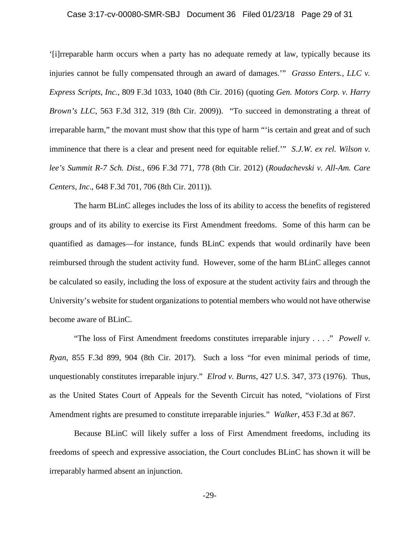## Case 3:17-cv-00080-SMR-SBJ Document 36 Filed 01/23/18 Page 29 of 31

'[i]rreparable harm occurs when a party has no adequate remedy at law, typically because its injuries cannot be fully compensated through an award of damages.'" *Grasso Enters., LLC v. Express Scripts, Inc.*, 809 F.3d 1033, 1040 (8th Cir. 2016) (quoting *Gen. Motors Corp. v. Harry Brown's LLC*, 563 F.3d 312, 319 (8th Cir. 2009)). "To succeed in demonstrating a threat of irreparable harm," the movant must show that this type of harm "'is certain and great and of such imminence that there is a clear and present need for equitable relief.<sup>"</sup> *S.J.W. ex rel. Wilson v. lee's Summit R-7 Sch. Dist.*, 696 F.3d 771, 778 (8th Cir. 2012) (*Roudachevski v. All-Am. Care Centers, Inc*., 648 F.3d 701, 706 (8th Cir. 2011)).

The harm BLinC alleges includes the loss of its ability to access the benefits of registered groups and of its ability to exercise its First Amendment freedoms. Some of this harm can be quantified as damages—for instance, funds BLinC expends that would ordinarily have been reimbursed through the student activity fund. However, some of the harm BLinC alleges cannot be calculated so easily, including the loss of exposure at the student activity fairs and through the University's website for student organizations to potential members who would not have otherwise become aware of BLinC.

"The loss of First Amendment freedoms constitutes irreparable injury . . . ." *Powell v. Ryan*, 855 F.3d 899, 904 (8th Cir. 2017). Such a loss "for even minimal periods of time, unquestionably constitutes irreparable injury." *Elrod v. Burns*, 427 U.S. 347, 373 (1976). Thus, as the United States Court of Appeals for the Seventh Circuit has noted, "violations of First Amendment rights are presumed to constitute irreparable injuries." *Walker*, 453 F.3d at 867.

Because BLinC will likely suffer a loss of First Amendment freedoms, including its freedoms of speech and expressive association, the Court concludes BLinC has shown it will be irreparably harmed absent an injunction.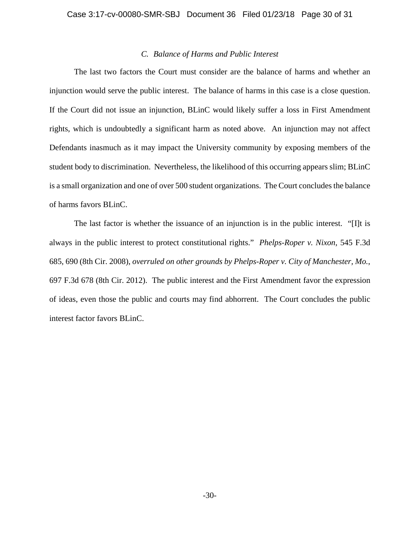# *C. Balance of Harms and Public Interest*

The last two factors the Court must consider are the balance of harms and whether an injunction would serve the public interest. The balance of harms in this case is a close question. If the Court did not issue an injunction, BLinC would likely suffer a loss in First Amendment rights, which is undoubtedly a significant harm as noted above. An injunction may not affect Defendants inasmuch as it may impact the University community by exposing members of the student body to discrimination. Nevertheless, the likelihood of this occurring appears slim; BLinC is a small organization and one of over 500 student organizations. The Court concludes the balance of harms favors BLinC.

The last factor is whether the issuance of an injunction is in the public interest. "[I]t is always in the public interest to protect constitutional rights." *Phelps-Roper v. Nixon*, 545 F.3d 685, 690 (8th Cir. 2008), *overruled on other grounds by Phelps-Roper v. City of Manchester, Mo.*, 697 F.3d 678 (8th Cir. 2012). The public interest and the First Amendment favor the expression of ideas, even those the public and courts may find abhorrent. The Court concludes the public interest factor favors BLinC.